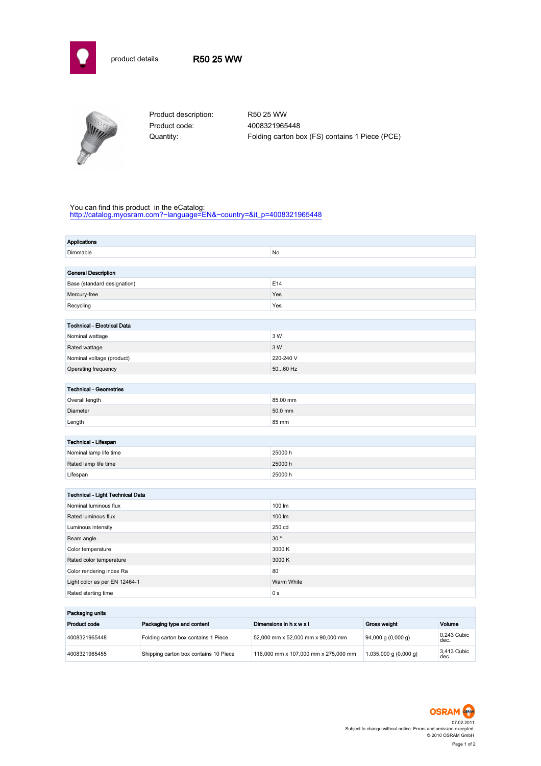



Product description: R50 25 WW Product code: 4008321965448

Quantity: Folding carton box (FS) contains 1 Piece (PCE)

## You can find this product in the eCatalog:

[http://catalog.myosram.com?~language=EN&~country=&it\\_p=4008321965448](http://catalog.myosram.com?~language=EN&~country=&it_p=4008321965448)

| <b>Applications</b>                     |                |  |  |
|-----------------------------------------|----------------|--|--|
| Dimmable                                | No             |  |  |
|                                         |                |  |  |
| <b>General Description</b>              |                |  |  |
| Base (standard designation)             | E14            |  |  |
| Mercury-free                            | Yes            |  |  |
| Recycling                               | Yes            |  |  |
|                                         |                |  |  |
| <b>Technical - Electrical Data</b>      |                |  |  |
| Nominal wattage                         | 3 W            |  |  |
| Rated wattage                           | 3 W            |  |  |
| Nominal voltage (product)               | 220-240 V      |  |  |
| Operating frequency                     | 5060 Hz        |  |  |
|                                         |                |  |  |
| <b>Technical - Geometries</b>           |                |  |  |
| Overall length                          | 85.00 mm       |  |  |
| Diameter                                | 50.0 mm        |  |  |
| Length                                  | 85 mm          |  |  |
|                                         |                |  |  |
| Technical - Lifespan                    |                |  |  |
| Nominal lamp life time                  | 25000 h        |  |  |
| Rated lamp life time                    | 25000 h        |  |  |
| Lifespan                                | 25000 h        |  |  |
|                                         |                |  |  |
| <b>Technical - Light Technical Data</b> |                |  |  |
| Nominal luminous flux                   | 100 lm         |  |  |
| Rated luminous flux                     | 100 lm         |  |  |
| Luminous intensity                      | 250 cd         |  |  |
| Beam angle                              | 30°            |  |  |
| Color temperature                       | 3000 K         |  |  |
| Rated color temperature                 | 3000 K         |  |  |
| Color rendering index Ra                | 80             |  |  |
| Light color as per EN 12464-1           | Warm White     |  |  |
| Rated starting time                     | 0 <sub>s</sub> |  |  |
|                                         |                |  |  |

| Packaging units |                                       |                                      |                                         |                     |
|-----------------|---------------------------------------|--------------------------------------|-----------------------------------------|---------------------|
| Product code    | Packaging type and content            | Dimensions in $h \times w \times l$  | Gross weight                            | Volume              |
| 4008321965448   | Folding carton box contains 1 Piece   | 52,000 mm x 52,000 mm x 90,000 mm    | $94,000$ g $(0,000$ g)                  | 0.243 Cubic<br>dec. |
| 4008321965455   | Shipping carton box contains 10 Piece | 116,000 mm x 107,000 mm x 275,000 mm | $1.035,000 \text{ g} (0,000 \text{ g})$ | 3.413 Cubic<br>dec. |